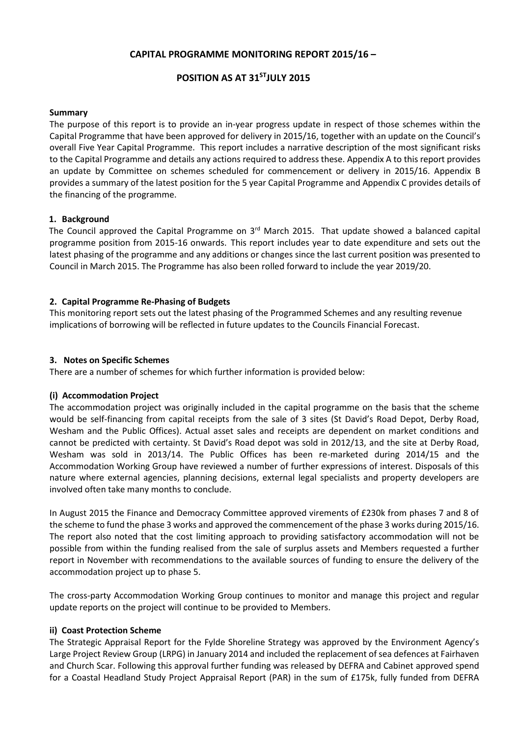## **CAPITAL PROGRAMME MONITORING REPORT 2015/16 –**

# **POSITION AS AT 31 STJULY 2015**

### **Summary**

The purpose of this report is to provide an in-year progress update in respect of those schemes within the Capital Programme that have been approved for delivery in 2015/16, together with an update on the Council's overall Five Year Capital Programme. This report includes a narrative description of the most significant risks to the Capital Programme and details any actions required to address these. Appendix A to this report provides an update by Committee on schemes scheduled for commencement or delivery in 2015/16. Appendix B provides a summary of the latest position for the 5 year Capital Programme and Appendix C provides details of the financing of the programme.

#### **1. Background**

The Council approved the Capital Programme on 3<sup>rd</sup> March 2015. That update showed a balanced capital programme position from 2015-16 onwards. This report includes year to date expenditure and sets out the latest phasing of the programme and any additions or changes since the last current position was presented to Council in March 2015. The Programme has also been rolled forward to include the year 2019/20.

### **2. Capital Programme Re-Phasing of Budgets**

This monitoring report sets out the latest phasing of the Programmed Schemes and any resulting revenue implications of borrowing will be reflected in future updates to the Councils Financial Forecast.

#### **3. Notes on Specific Schemes**

There are a number of schemes for which further information is provided below:

### **(i) Accommodation Project**

The accommodation project was originally included in the capital programme on the basis that the scheme would be self-financing from capital receipts from the sale of 3 sites (St David's Road Depot, Derby Road, Wesham and the Public Offices). Actual asset sales and receipts are dependent on market conditions and cannot be predicted with certainty. St David's Road depot was sold in 2012/13, and the site at Derby Road, Wesham was sold in 2013/14. The Public Offices has been re-marketed during 2014/15 and the Accommodation Working Group have reviewed a number of further expressions of interest. Disposals of this nature where external agencies, planning decisions, external legal specialists and property developers are involved often take many months to conclude.

In August 2015 the Finance and Democracy Committee approved virements of £230k from phases 7 and 8 of the scheme to fund the phase 3 works and approved the commencement of the phase 3 works during 2015/16. The report also noted that the cost limiting approach to providing satisfactory accommodation will not be possible from within the funding realised from the sale of surplus assets and Members requested a further report in November with recommendations to the available sources of funding to ensure the delivery of the accommodation project up to phase 5.

The cross-party Accommodation Working Group continues to monitor and manage this project and regular update reports on the project will continue to be provided to Members.

#### **ii) Coast Protection Scheme**

The Strategic Appraisal Report for the Fylde Shoreline Strategy was approved by the Environment Agency's Large Project Review Group (LRPG) in January 2014 and included the replacement of sea defences at Fairhaven and Church Scar. Following this approval further funding was released by DEFRA and Cabinet approved spend for a Coastal Headland Study Project Appraisal Report (PAR) in the sum of £175k, fully funded from DEFRA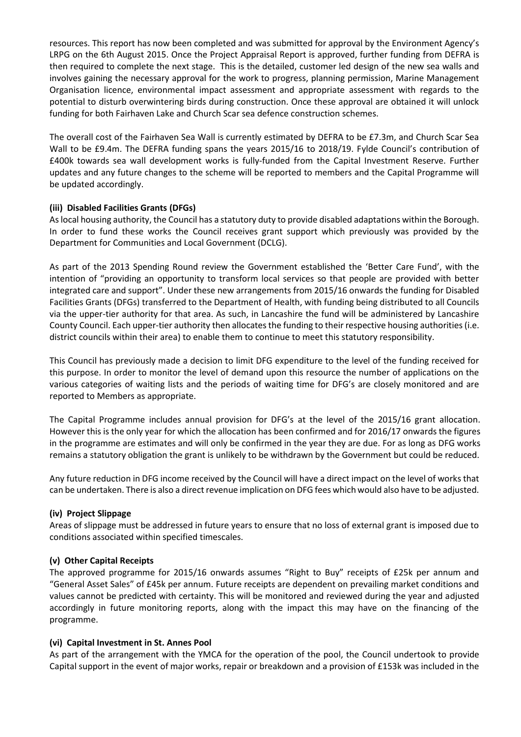resources. This report has now been completed and was submitted for approval by the Environment Agency's LRPG on the 6th August 2015. Once the Project Appraisal Report is approved, further funding from DEFRA is then required to complete the next stage. This is the detailed, customer led design of the new sea walls and involves gaining the necessary approval for the work to progress, planning permission, Marine Management Organisation licence, environmental impact assessment and appropriate assessment with regards to the potential to disturb overwintering birds during construction. Once these approval are obtained it will unlock funding for both Fairhaven Lake and Church Scar sea defence construction schemes.

The overall cost of the Fairhaven Sea Wall is currently estimated by DEFRA to be £7.3m, and Church Scar Sea Wall to be £9.4m. The DEFRA funding spans the years 2015/16 to 2018/19. Fylde Council's contribution of £400k towards sea wall development works is fully-funded from the Capital Investment Reserve. Further updates and any future changes to the scheme will be reported to members and the Capital Programme will be updated accordingly.

## **(iii) Disabled Facilities Grants (DFGs)**

As local housing authority, the Council has a statutory duty to provide disabled adaptations within the Borough. In order to fund these works the Council receives grant support which previously was provided by the Department for Communities and Local Government (DCLG).

As part of the 2013 Spending Round review the Government established the 'Better Care Fund', with the intention of "providing an opportunity to transform local services so that people are provided with better integrated care and support". Under these new arrangements from 2015/16 onwards the funding for Disabled Facilities Grants (DFGs) transferred to the Department of Health, with funding being distributed to all Councils via the upper-tier authority for that area. As such, in Lancashire the fund will be administered by Lancashire County Council. Each upper-tier authority then allocates the funding to their respective housing authorities (i.e. district councils within their area) to enable them to continue to meet this statutory responsibility.

This Council has previously made a decision to limit DFG expenditure to the level of the funding received for this purpose. In order to monitor the level of demand upon this resource the number of applications on the various categories of waiting lists and the periods of waiting time for DFG's are closely monitored and are reported to Members as appropriate.

The Capital Programme includes annual provision for DFG's at the level of the 2015/16 grant allocation. However this is the only year for which the allocation has been confirmed and for 2016/17 onwards the figures in the programme are estimates and will only be confirmed in the year they are due. For as long as DFG works remains a statutory obligation the grant is unlikely to be withdrawn by the Government but could be reduced.

Any future reduction in DFG income received by the Council will have a direct impact on the level of works that can be undertaken. There is also a direct revenue implication on DFG fees which would also have to be adjusted.

### **(iv) Project Slippage**

Areas of slippage must be addressed in future years to ensure that no loss of external grant is imposed due to conditions associated within specified timescales.

### **(v) Other Capital Receipts**

The approved programme for 2015/16 onwards assumes "Right to Buy" receipts of £25k per annum and "General Asset Sales" of £45k per annum. Future receipts are dependent on prevailing market conditions and values cannot be predicted with certainty. This will be monitored and reviewed during the year and adjusted accordingly in future monitoring reports, along with the impact this may have on the financing of the programme.

### **(vi) Capital Investment in St. Annes Pool**

As part of the arrangement with the YMCA for the operation of the pool, the Council undertook to provide Capital support in the event of major works, repair or breakdown and a provision of £153k was included in the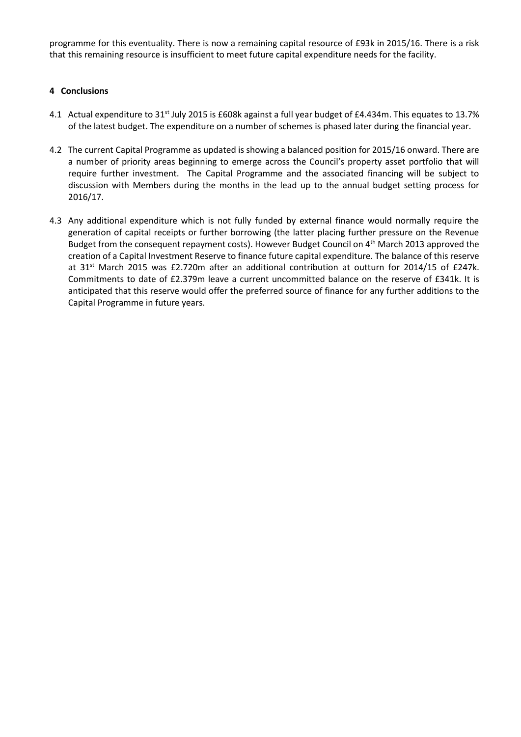programme for this eventuality. There is now a remaining capital resource of £93k in 2015/16. There is a risk that this remaining resource is insufficient to meet future capital expenditure needs for the facility.

### **4 Conclusions**

- 4.1 Actual expenditure to 31<sup>st</sup> July 2015 is £608k against a full year budget of £4.434m. This equates to 13.7% of the latest budget. The expenditure on a number of schemes is phased later during the financial year.
- 4.2 The current Capital Programme as updated is showing a balanced position for 2015/16 onward. There are a number of priority areas beginning to emerge across the Council's property asset portfolio that will require further investment. The Capital Programme and the associated financing will be subject to discussion with Members during the months in the lead up to the annual budget setting process for 2016/17.
- 4.3 Any additional expenditure which is not fully funded by external finance would normally require the generation of capital receipts or further borrowing (the latter placing further pressure on the Revenue Budget from the consequent repayment costs). However Budget Council on 4<sup>th</sup> March 2013 approved the creation of a Capital Investment Reserve to finance future capital expenditure. The balance of this reserve at  $31<sup>st</sup>$  March 2015 was £2.720m after an additional contribution at outturn for 2014/15 of £247k. Commitments to date of £2.379m leave a current uncommitted balance on the reserve of £341k. It is anticipated that this reserve would offer the preferred source of finance for any further additions to the Capital Programme in future years.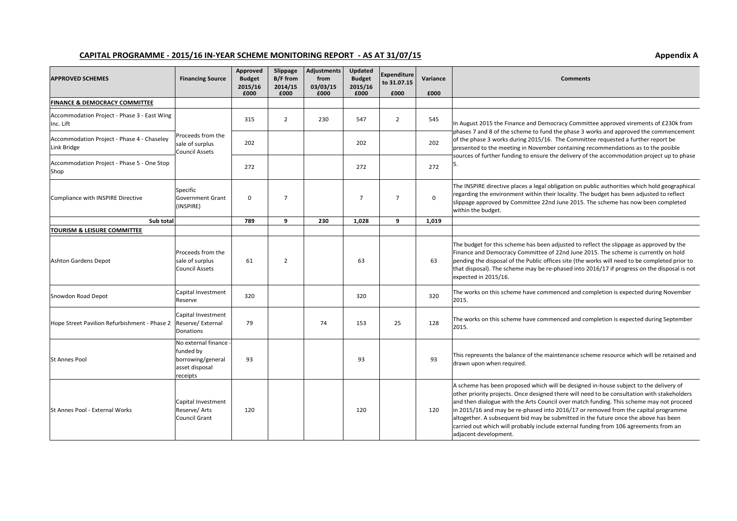#### CAPITAL PROGRAMME - 2015/16 IN-YEAR SCHEME MONITORING REPORT - AS AT 31/07/15

| <b>APPROVED SCHEMES</b>                                   | <b>Financing Source</b>                                                             | Approved<br><b>Budget</b><br>2015/16<br>£000 | Slippage<br>B/F from<br>2014/15<br>£000 | <b>Adjustments</b><br>from<br>03/03/15<br>£000 | <b>Updated</b><br><b>Budget</b><br>2015/16<br>£000 | <b>Expenditure</b><br>to 31.07.15<br>£000 | Variance<br>£000 | <b>Comments</b>                                                                                                                                                                                                                                                                                                                                                                                                                                                                                                                                                               |  |  |
|-----------------------------------------------------------|-------------------------------------------------------------------------------------|----------------------------------------------|-----------------------------------------|------------------------------------------------|----------------------------------------------------|-------------------------------------------|------------------|-------------------------------------------------------------------------------------------------------------------------------------------------------------------------------------------------------------------------------------------------------------------------------------------------------------------------------------------------------------------------------------------------------------------------------------------------------------------------------------------------------------------------------------------------------------------------------|--|--|
| <b>FINANCE &amp; DEMOCRACY COMMITTEE</b>                  |                                                                                     |                                              |                                         |                                                |                                                    |                                           |                  |                                                                                                                                                                                                                                                                                                                                                                                                                                                                                                                                                                               |  |  |
| Accommodation Project - Phase 3 - East Wing<br>Inc. Lift  |                                                                                     | 315                                          | $\overline{2}$                          | 230                                            | 547                                                | $\overline{2}$                            | 545              | In August 2015 the Finance and Democracy Committee approved virements of £230k from<br>phases 7 and 8 of the scheme to fund the phase 3 works and approved the commencement                                                                                                                                                                                                                                                                                                                                                                                                   |  |  |
| Accommodation Project - Phase 4 - Chaseley<br>Link Bridge | Proceeds from the<br>sale of surplus<br>Council Assets                              | 202                                          |                                         |                                                | 202                                                |                                           | 202              | of the phase 3 works during 2015/16. The Committee requested a further report be<br>presented to the meeting in November containing recommendations as to the posible                                                                                                                                                                                                                                                                                                                                                                                                         |  |  |
| Accommodation Project - Phase 5 - One Stop<br>Shop        |                                                                                     | 272                                          |                                         |                                                | 272                                                |                                           | 272              | sources of further funding to ensure the delivery of the accommodation project up to phase                                                                                                                                                                                                                                                                                                                                                                                                                                                                                    |  |  |
| Compliance with INSPIRE Directive                         | Specific<br><b>Government Grant</b><br>(INSPIRE)                                    | $\mathbf 0$                                  | $\overline{7}$                          |                                                | 7                                                  | $\overline{7}$                            | $\mathbf 0$      | The INSPIRE directive places a legal obligation on public authorities which hold geographical<br>regarding the environment within their locality. The budget has been adjusted to reflect<br>slippage approved by Committee 22nd June 2015. The scheme has now been completed<br>within the budget.                                                                                                                                                                                                                                                                           |  |  |
| Sub total                                                 |                                                                                     | 789                                          | 9                                       | 230                                            | 1.028                                              | 9                                         | 1.019            |                                                                                                                                                                                                                                                                                                                                                                                                                                                                                                                                                                               |  |  |
| <b>TOURISM &amp; LEISURE COMMITTEE</b>                    |                                                                                     |                                              |                                         |                                                |                                                    |                                           |                  |                                                                                                                                                                                                                                                                                                                                                                                                                                                                                                                                                                               |  |  |
| Ashton Gardens Depot                                      | Proceeds from the<br>sale of surplus<br>Council Assets                              | 61                                           | $\overline{2}$                          |                                                | 63                                                 |                                           | 63               | The budget for this scheme has been adjusted to reflect the slippage as approved by the<br>Finance and Democracy Committee of 22nd June 2015. The scheme is currently on hold<br>pending the disposal of the Public offices site (the works will need to be completed prior to<br>that disposal). The scheme may be re-phased into 2016/17 if progress on the disposal is not<br>expected in 2015/16.                                                                                                                                                                         |  |  |
| Snowdon Road Depot                                        | Capital Investment<br>Reserve                                                       | 320                                          |                                         |                                                | 320                                                |                                           | 320              | The works on this scheme have commenced and completion is expected during November<br>2015.                                                                                                                                                                                                                                                                                                                                                                                                                                                                                   |  |  |
| Hope Street Pavilion Refurbishment - Phase 2              | Capital Investment<br>Reserve/ External<br>Donations                                | 79                                           |                                         | 74                                             | 153                                                | 25                                        | 128              | The works on this scheme have commenced and completion is expected during September<br>2015.                                                                                                                                                                                                                                                                                                                                                                                                                                                                                  |  |  |
| St Annes Pool                                             | No external finance<br>funded by<br>borrowing/general<br>asset disposal<br>receipts | 93                                           |                                         |                                                | 93                                                 |                                           | 93               | This represents the balance of the maintenance scheme resource which will be retained and<br>drawn upon when required.                                                                                                                                                                                                                                                                                                                                                                                                                                                        |  |  |
| St Annes Pool - External Works                            | Capital Investment<br>Reserve/ Arts<br>Council Grant                                | 120                                          |                                         |                                                | 120                                                |                                           | 120              | A scheme has been proposed which will be designed in-house subject to the delivery of<br>other priority projects. Once designed there will need to be consultation with stakeholders<br>and then dialogue with the Arts Council over match funding. This scheme may not proceed<br>in 2015/16 and may be re-phased into 2016/17 or removed from the capital programme<br>altogether. A subsequent bid may be submitted in the future once the above has been<br>carried out which will probably include external funding from 106 agreements from an<br>adjacent development. |  |  |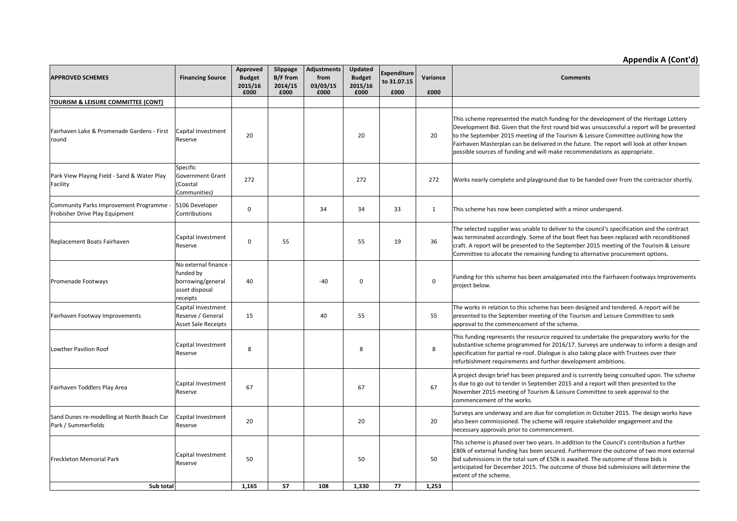# **Appendix A (Cont'd)**

| <b>APPROVED SCHEMES</b>                                                   | <b>Financing Source</b>                                                             | Approved<br><b>Budget</b><br>2015/16<br>£000 | Slippage<br><b>B/F</b> from<br>2014/15<br>£000 | <b>Adjustments</b><br>from<br>03/03/15<br>£000 | Updated<br><b>Budget</b><br>2015/16<br>£000 | <b>Expenditure</b><br>to 31.07.15<br>£000 | Variance<br>£000 | <b>Comments</b>                                                                                                                                                                                                                                                                                                                                                                                                                                     |
|---------------------------------------------------------------------------|-------------------------------------------------------------------------------------|----------------------------------------------|------------------------------------------------|------------------------------------------------|---------------------------------------------|-------------------------------------------|------------------|-----------------------------------------------------------------------------------------------------------------------------------------------------------------------------------------------------------------------------------------------------------------------------------------------------------------------------------------------------------------------------------------------------------------------------------------------------|
| TOURISM & LEISURE COMMITTEE (CONT)                                        |                                                                                     |                                              |                                                |                                                |                                             |                                           |                  |                                                                                                                                                                                                                                                                                                                                                                                                                                                     |
| Fairhaven Lake & Promenade Gardens - First<br>round                       | Capital Investment<br>Reserve                                                       | 20                                           |                                                |                                                | 20                                          |                                           | 20               | This scheme represented the match funding for the development of the Heritage Lottery<br>Development Bid. Given that the first round bid was unsuccessful a report will be presented<br>to the September 2015 meeting of the Tourism & Leisure Committee outlining how the<br>Fairhaven Masterplan can be delivered in the future. The report will look at other known<br>possible sources of funding and will make recommendations as appropriate. |
| Park View Playing Field - Sand & Water Play<br>Facility                   | Specific<br><b>Government Grant</b><br>(Coastal<br>Communities)                     | 272                                          |                                                |                                                | 272                                         |                                           | 272              | Works nearly complete and playground due to be handed over from the contractor shortly.                                                                                                                                                                                                                                                                                                                                                             |
| Community Parks Improvement Programme -<br>Frobisher Drive Play Equipment | S106 Developer<br>Contributions                                                     | $\mathbf 0$                                  |                                                | 34                                             | 34                                          | 33                                        | 1                | This scheme has now been completed with a minor underspend.                                                                                                                                                                                                                                                                                                                                                                                         |
| Replacement Boats Fairhaven                                               | Capital Investment<br>Reserve                                                       | $\mathbf 0$                                  | 55                                             |                                                | 55                                          | 19                                        | 36               | The selected supplier was unable to deliver to the council's specification and the contract<br>was terminated accordingly. Some of the boat fleet has been replaced with reconditioned<br>craft. A report will be presented to the September 2015 meeting of the Tourism & Leisure<br>Committee to allocate the remaining funding to alternative procurement options.                                                                               |
| Promenade Footways                                                        | No external finance<br>funded by<br>borrowing/general<br>asset disposal<br>receipts | 40                                           |                                                | $-40$                                          | $\mathbf 0$                                 |                                           | $\mathbf 0$      | Funding for this scheme has been amalgamated into the Fairhaven Footways Improvements<br>project below.                                                                                                                                                                                                                                                                                                                                             |
| Fairhaven Footway Improvements                                            | Capital Investment<br>Reserve / General<br><b>Asset Sale Receipts</b>               | 15                                           |                                                | 40                                             | 55                                          |                                           | 55               | The works in relation to this scheme has been designed and tendered. A report will be<br>presented to the September meeting of the Tourism and Leisure Committee to seek<br>approval to the commencement of the scheme.                                                                                                                                                                                                                             |
| Lowther Pavilion Roof                                                     | Capital Investment<br>Reserve                                                       | 8                                            |                                                |                                                | 8                                           |                                           | 8                | This funding represents the resource required to undertake the preparatory works for the<br>substantive scheme programmed for 2016/17. Surveys are underway to inform a design and<br>specification for partial re-roof. Dialogue is also taking place with Trustees over their<br>refurbishment requirements and further development ambitions.                                                                                                    |
| Fairhaven Toddlers Play Area                                              | Capital Investment<br>Reserve                                                       | 67                                           |                                                |                                                | 67                                          |                                           | 67               | A project design brief has been prepared and is currently being consulted upon. The scheme<br>is due to go out to tender in September 2015 and a report will then presented to the<br>November 2015 meeting of Tourism & Leisure Committee to seek approval to the<br>commencement of the works.                                                                                                                                                    |
| Sand Dunes re-modelling at North Beach Car<br>Park / Summerfields         | Capital Investment<br>Reserve                                                       | 20                                           |                                                |                                                | 20                                          |                                           | 20               | Surveys are underway and are due for completion in October 2015. The design works have<br>also been commissioned. The scheme will require stakeholder engagement and the<br>necessary approvals prior to commencement.                                                                                                                                                                                                                              |
| Freckleton Memorial Park                                                  | Capital Investment<br>Reserve                                                       | 50                                           |                                                |                                                | 50                                          |                                           | 50               | This scheme is phased over two years. In addition to the Council's contribution a further<br>£80k of external funding has been secured. Furthermore the outcome of two more external<br>bid submissions in the total sum of £50k is awaited. The outcome of those bids is<br>anticipated for December 2015. The outcome of those bid submissions will determine the<br>extent of the scheme.                                                        |
| Sub total                                                                 |                                                                                     | 1.165                                        | 57                                             | 108                                            | 1.330                                       | 77                                        | 1.253            |                                                                                                                                                                                                                                                                                                                                                                                                                                                     |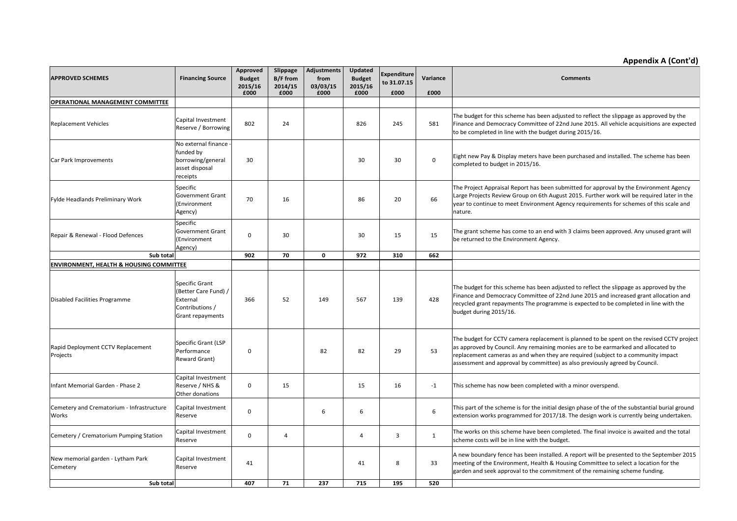#### **Appendix A (Cont'd)**

| <b>APPROVED SCHEMES</b>                            | <b>Financing Source</b>                                                                   | Approved<br><b>Budget</b><br>2015/16<br>£000 | Slippage<br><b>B/F</b> from<br>2014/15<br>£000 | <b>Adjustments</b><br>from<br>03/03/15<br>£000 | <b>Updated</b><br><b>Budget</b><br>2015/16<br>£000 | <b>Expenditure</b><br>to 31.07.15<br>£000 | Variance<br>£000 | <b>Comments</b>                                                                                                                                                                                                                                                                                                                                   |
|----------------------------------------------------|-------------------------------------------------------------------------------------------|----------------------------------------------|------------------------------------------------|------------------------------------------------|----------------------------------------------------|-------------------------------------------|------------------|---------------------------------------------------------------------------------------------------------------------------------------------------------------------------------------------------------------------------------------------------------------------------------------------------------------------------------------------------|
| <b>OPERATIONAL MANAGEMENT COMMITTEE</b>            |                                                                                           |                                              |                                                |                                                |                                                    |                                           |                  |                                                                                                                                                                                                                                                                                                                                                   |
| <b>Replacement Vehicles</b>                        | Capital Investment<br>Reserve / Borrowing                                                 | 802                                          | 24                                             |                                                | 826                                                | 245                                       | 581              | The budget for this scheme has been adjusted to reflect the slippage as approved by the<br>Finance and Democracy Committee of 22nd June 2015. All vehicle acquisitions are expected<br>to be completed in line with the budget during 2015/16.                                                                                                    |
| Car Park Improvements                              | No external finance<br>funded by<br>borrowing/general<br>asset disposal<br>receipts       | 30                                           |                                                |                                                | 30                                                 | 30                                        | $\mathbf 0$      | Eight new Pay & Display meters have been purchased and installed. The scheme has been<br>completed to budget in 2015/16.                                                                                                                                                                                                                          |
| Fylde Headlands Preliminary Work                   | Specific<br><b>Government Grant</b><br>(Environment<br>Agency)                            | 70                                           | 16                                             |                                                | 86                                                 | 20                                        | 66               | The Project Appraisal Report has been submitted for approval by the Environment Agency<br>Large Projects Review Group on 6th August 2015. Further work will be required later in the<br>year to continue to meet Environment Agency requirements for schemes of this scale and<br>nature.                                                         |
| Repair & Renewal - Flood Defences                  | Specific<br><b>Government Grant</b><br>(Environment<br>Agency)                            | $\mathbf 0$                                  | 30                                             |                                                | 30                                                 | 15                                        | 15               | The grant scheme has come to an end with 3 claims been approved. Any unused grant will<br>be returned to the Environment Agency.                                                                                                                                                                                                                  |
| Sub total                                          |                                                                                           | 902                                          | 70                                             | $\mathbf 0$                                    | 972                                                | 310                                       | 662              |                                                                                                                                                                                                                                                                                                                                                   |
| <b>ENVIRONMENT, HEALTH &amp; HOUSING COMMITTEE</b> |                                                                                           |                                              |                                                |                                                |                                                    |                                           |                  |                                                                                                                                                                                                                                                                                                                                                   |
| Disabled Facilities Programme                      | Specific Grant<br>(Better Care Fund) /<br>External<br>Contributions /<br>Grant repayments | 366                                          | 52                                             | 149                                            | 567                                                | 139                                       | 428              | The budget for this scheme has been adjusted to reflect the slippage as approved by the<br>Finance and Democracy Committee of 22nd June 2015 and increased grant allocation and<br>recycled grant repayments The programme is expected to be completed in line with the<br>budget during 2015/16.                                                 |
| Rapid Deployment CCTV Replacement<br>Projects      | <b>Specific Grant (LSP</b><br>Performance<br>Reward Grant)                                | $\mathbf 0$                                  |                                                | 82                                             | 82                                                 | 29                                        | 53               | The budget for CCTV camera replacement is planned to be spent on the revised CCTV project<br>as approved by Council. Any remaining monies are to be earmarked and allocated to<br>replacement cameras as and when they are required (subject to a community impact<br>assessment and approval by committee) as also previously agreed by Council. |
| Infant Memorial Garden - Phase 2                   | Capital Investment<br>Reserve / NHS &<br>Other donations                                  | $\mathbf 0$                                  | 15                                             |                                                | 15                                                 | 16                                        | $-1$             | This scheme has now been completed with a minor overspend.                                                                                                                                                                                                                                                                                        |
| Cemetery and Crematorium - Infrastructure<br>Works | Capital Investment<br>Reserve                                                             | $\mathbf 0$                                  |                                                | 6                                              | 6                                                  |                                           | 6                | This part of the scheme is for the initial design phase of the of the substantial burial ground<br>extension works programmed for 2017/18. The design work is currently being undertaken.                                                                                                                                                         |
| Cemetery / Crematorium Pumping Station             | Capital Investment<br>Reserve                                                             | $\mathbf 0$                                  | $\overline{4}$                                 |                                                | $\overline{4}$                                     | $\overline{3}$                            | $\mathbf{1}$     | The works on this scheme have been completed. The final invoice is awaited and the total<br>scheme costs will be in line with the budget.                                                                                                                                                                                                         |
| New memorial garden - Lytham Park<br>Cemetery      | Capital Investment<br>Reserve                                                             | 41                                           |                                                |                                                | 41                                                 | 8                                         | 33               | A new boundary fence has been installed. A report will be presented to the September 2015<br>meeting of the Environment, Health & Housing Committee to select a location for the<br>garden and seek approval to the commitment of the remaining scheme funding.                                                                                   |
| Sub total                                          |                                                                                           | 407                                          | 71                                             | 237                                            | 715                                                | 195                                       | 520              |                                                                                                                                                                                                                                                                                                                                                   |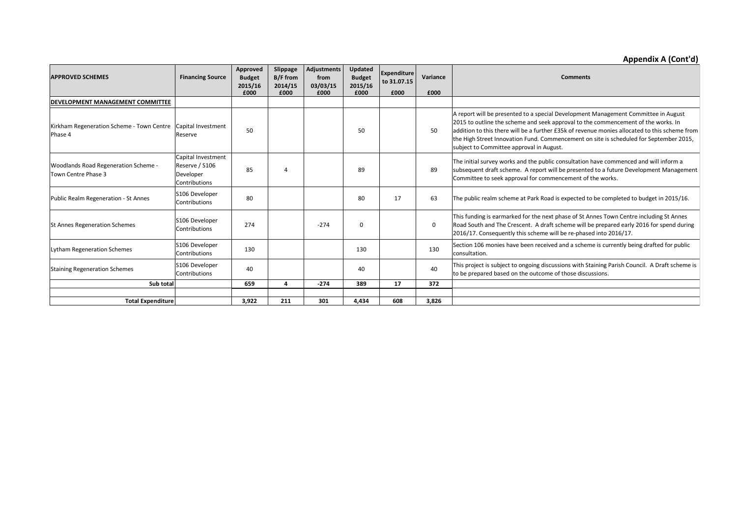# **Appendix A (Cont'd)**

| <b>APPROVED SCHEMES</b>                                                 | <b>Financing Source</b>                                            | Approved<br><b>Budget</b><br>2015/16 | Slippage<br><b>B/F</b> from<br>2014/15 | Adjustments<br>from<br>03/03/15 | Updated<br><b>Budget</b><br>2015/16 | Expenditure<br>to 31.07.15 | Variance    | <b>Comments</b>                                                                                                                                                                                                                                                                                                                                                                                                |
|-------------------------------------------------------------------------|--------------------------------------------------------------------|--------------------------------------|----------------------------------------|---------------------------------|-------------------------------------|----------------------------|-------------|----------------------------------------------------------------------------------------------------------------------------------------------------------------------------------------------------------------------------------------------------------------------------------------------------------------------------------------------------------------------------------------------------------------|
|                                                                         |                                                                    | £000                                 | £000                                   | £000                            | £000                                | £000                       | £000        |                                                                                                                                                                                                                                                                                                                                                                                                                |
| DEVELOPMENT MANAGEMENT COMMITTEE                                        |                                                                    |                                      |                                        |                                 |                                     |                            |             |                                                                                                                                                                                                                                                                                                                                                                                                                |
| Kirkham Regeneration Scheme - Town Centre Capital Investment<br>Phase 4 | Reserve                                                            | 50                                   |                                        |                                 | 50                                  |                            | 50          | A report will be presented to a special Development Management Committee in August<br>2015 to outline the scheme and seek approval to the commencement of the works. In<br>addition to this there will be a further £35k of revenue monies allocated to this scheme from<br>the High Street Innovation Fund. Commencement on site is scheduled for September 2015,<br>subject to Committee approval in August. |
| Woodlands Road Regeneration Scheme -<br>Town Centre Phase 3             | Capital Investment<br>Reserve / S106<br>Developer<br>Contributions | 85                                   |                                        |                                 | 89                                  |                            | 89          | The initial survey works and the public consultation have commenced and will inform a<br>subsequent draft scheme. A report will be presented to a future Development Management<br>Committee to seek approval for commencement of the works.                                                                                                                                                                   |
| Public Realm Regeneration - St Annes                                    | S106 Developer<br>Contributions                                    | 80                                   |                                        |                                 | 80                                  | 17                         | 63          | The public realm scheme at Park Road is expected to be completed to budget in 2015/16.                                                                                                                                                                                                                                                                                                                         |
| <b>St Annes Regeneration Schemes</b>                                    | S106 Developer<br>Contributions                                    | 274                                  |                                        | $-274$                          | $\Omega$                            |                            | $\mathbf 0$ | This funding is earmarked for the next phase of St Annes Town Centre including St Annes<br>Road South and The Crescent. A draft scheme will be prepared early 2016 for spend during<br>2016/17. Consequently this scheme will be re-phased into 2016/17.                                                                                                                                                       |
| <b>Lytham Regeneration Schemes</b>                                      | S106 Developer<br>Contributions                                    | 130                                  |                                        |                                 | 130                                 |                            | 130         | Section 106 monies have been received and a scheme is currently being drafted for public<br>consultation.                                                                                                                                                                                                                                                                                                      |
| <b>Staining Regeneration Schemes</b>                                    | S106 Developer<br>Contributions                                    | 40                                   |                                        |                                 | 40                                  |                            | 40          | This project is subject to ongoing discussions with Staining Parish Council. A Draft scheme is<br>to be prepared based on the outcome of those discussions.                                                                                                                                                                                                                                                    |
| Sub total                                                               |                                                                    | 659                                  |                                        | $-274$                          | 389                                 | 17                         | 372         |                                                                                                                                                                                                                                                                                                                                                                                                                |
| <b>Total Expenditure</b>                                                |                                                                    | 3.922                                | 211                                    | 301                             | 4.434                               | 608                        | 3.826       |                                                                                                                                                                                                                                                                                                                                                                                                                |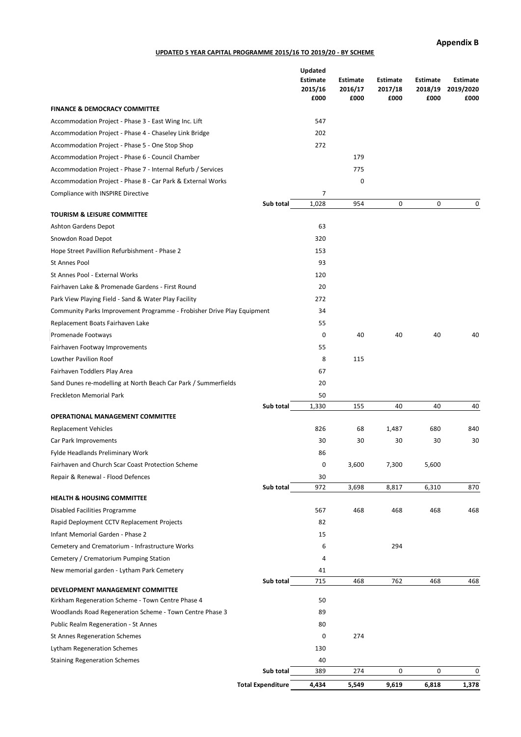**Appendix B**

#### **UPDATED 5 YEAR CAPITAL PROGRAMME 2015/16 TO 2019/20 - BY SCHEME**

|                                                                                           | <b>Estimate</b><br>2015/16 | <b>Estimate</b><br>2016/17 | <b>Estimate</b><br>2017/18 | <b>Estimate</b><br>2018/19 | <b>Estimate</b><br>2019/2020 |
|-------------------------------------------------------------------------------------------|----------------------------|----------------------------|----------------------------|----------------------------|------------------------------|
|                                                                                           | £000                       | £000                       | £000                       | £000                       | £000                         |
| <b>FINANCE &amp; DEMOCRACY COMMITTEE</b>                                                  |                            |                            |                            |                            |                              |
| Accommodation Project - Phase 3 - East Wing Inc. Lift                                     | 547                        |                            |                            |                            |                              |
| Accommodation Project - Phase 4 - Chaseley Link Bridge                                    | 202                        |                            |                            |                            |                              |
| Accommodation Project - Phase 5 - One Stop Shop                                           | 272                        |                            |                            |                            |                              |
| Accommodation Project - Phase 6 - Council Chamber                                         |                            | 179                        |                            |                            |                              |
| Accommodation Project - Phase 7 - Internal Refurb / Services                              |                            | 775                        |                            |                            |                              |
| Accommodation Project - Phase 8 - Car Park & External Works                               |                            | 0                          |                            |                            |                              |
| Compliance with INSPIRE Directive                                                         | 7                          |                            |                            |                            |                              |
|                                                                                           | 1,028<br>Sub total         | 954                        | $\mathbf 0$                | 0                          | 0                            |
| <b>TOURISM &amp; LEISURE COMMITTEE</b>                                                    |                            |                            |                            |                            |                              |
| Ashton Gardens Depot                                                                      | 63                         |                            |                            |                            |                              |
| Snowdon Road Depot                                                                        | 320                        |                            |                            |                            |                              |
| Hope Street Pavillion Refurbishment - Phase 2                                             | 153                        |                            |                            |                            |                              |
| St Annes Pool                                                                             | 93                         |                            |                            |                            |                              |
| St Annes Pool - External Works                                                            | 120                        |                            |                            |                            |                              |
| Fairhaven Lake & Promenade Gardens - First Round                                          | 20                         |                            |                            |                            |                              |
| Park View Playing Field - Sand & Water Play Facility                                      | 272                        |                            |                            |                            |                              |
| Community Parks Improvement Programme - Frobisher Drive Play Equipment                    | 34                         |                            |                            |                            |                              |
| Replacement Boats Fairhaven Lake                                                          | 55                         |                            |                            |                            |                              |
| Promenade Footways                                                                        | 0                          | 40                         | 40                         | 40                         | 40                           |
| Fairhaven Footway Improvements                                                            | 55                         |                            |                            |                            |                              |
| Lowther Pavilion Roof                                                                     | 8                          | 115                        |                            |                            |                              |
| Fairhaven Toddlers Play Area                                                              | 67                         |                            |                            |                            |                              |
| Sand Dunes re-modelling at North Beach Car Park / Summerfields                            | 20                         |                            |                            |                            |                              |
| Freckleton Memorial Park                                                                  | 50                         |                            |                            |                            |                              |
|                                                                                           | 1,330<br>Sub total         | 155                        | 40                         | 40                         | 40                           |
| <b>OPERATIONAL MANAGEMENT COMMITTEE</b>                                                   |                            |                            |                            |                            |                              |
| <b>Replacement Vehicles</b>                                                               | 826                        | 68                         | 1,487                      | 680                        | 840                          |
| Car Park Improvements                                                                     | 30                         | 30                         | 30                         | 30                         | 30                           |
| Fylde Headlands Preliminary Work                                                          | 86                         |                            |                            |                            |                              |
| Fairhaven and Church Scar Coast Protection Scheme                                         | 0                          | 3,600                      | 7,300                      | 5,600                      |                              |
| Repair & Renewal - Flood Defences                                                         | 30                         |                            |                            |                            |                              |
| <b>HEALTH &amp; HOUSING COMMITTEE</b>                                                     | Sub total<br>972           | 3,698                      | 8,817                      | 6,310                      | 870                          |
| Disabled Facilities Programme                                                             | 567                        | 468                        | 468                        | 468                        | 468                          |
| Rapid Deployment CCTV Replacement Projects                                                | 82                         |                            |                            |                            |                              |
| Infant Memorial Garden - Phase 2                                                          | 15                         |                            |                            |                            |                              |
|                                                                                           | 6                          |                            | 294                        |                            |                              |
| Cemetery and Crematorium - Infrastructure Works<br>Cemetery / Crematorium Pumping Station | 4                          |                            |                            |                            |                              |
|                                                                                           |                            |                            |                            |                            |                              |
| New memorial garden - Lytham Park Cemetery                                                | 41<br>715<br>Sub total     | 468                        | 762                        | 468                        | 468                          |
| DEVELOPMENT MANAGEMENT COMMITTEE                                                          |                            |                            |                            |                            |                              |
| Kirkham Regeneration Scheme - Town Centre Phase 4                                         | 50                         |                            |                            |                            |                              |
| Woodlands Road Regeneration Scheme - Town Centre Phase 3                                  | 89                         |                            |                            |                            |                              |
| Public Realm Regeneration - St Annes                                                      | 80                         |                            |                            |                            |                              |
| St Annes Regeneration Schemes                                                             | 0                          | 274                        |                            |                            |                              |
| Lytham Regeneration Schemes                                                               | 130                        |                            |                            |                            |                              |
| <b>Staining Regeneration Schemes</b>                                                      | 40                         |                            |                            |                            |                              |
|                                                                                           |                            |                            |                            |                            |                              |
|                                                                                           | Sub total<br>389           | 274                        | 0                          | 0                          | 0                            |